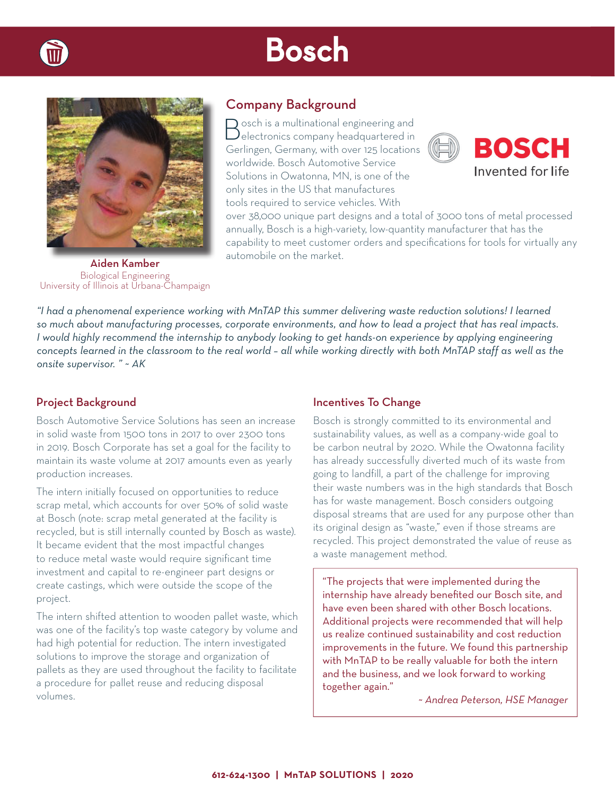# Bosch



## Company Background

 $\Box$  osch is a multinational engineering and  $\bm{\mathcal{Y}}$ electronics company headquartered in Gerlingen, Germany, with over 125 locations worldwide. Bosch Automotive Service Solutions in Owatonna, MN, is one of the only sites in the US that manufactures tools required to service vehicles. With



over 38,000 unique part designs and a total of 3000 tons of metal processed annually, Bosch is a high-variety, low-quantity manufacturer that has the capability to meet customer orders and specifications for tools for virtually any automobile on the market.

Aiden Kamber Biological Engineering University of Illinois at Urbana-Champaign

*"I had a phenomenal experience working with MnTAP this summer delivering waste reduction solutions! I learned so much about manufacturing processes, corporate environments, and how to lead a project that has real impacts. I would highly recommend the internship to anybody looking to get hands-on experience by applying engineering concepts learned in the classroom to the real world – all while working directly with both MnTAP staff as well as the onsite supervisor. " ~ AK*

### Project Background

Bosch Automotive Service Solutions has seen an increase in solid waste from 1500 tons in 2017 to over 2300 tons in 2019. Bosch Corporate has set a goal for the facility to maintain its waste volume at 2017 amounts even as yearly production increases.

The intern initially focused on opportunities to reduce scrap metal, which accounts for over 50% of solid waste at Bosch (note: scrap metal generated at the facility is recycled, but is still internally counted by Bosch as waste). It became evident that the most impactful changes to reduce metal waste would require significant time investment and capital to re-engineer part designs or create castings, which were outside the scope of the project.

The intern shifted attention to wooden pallet waste, which was one of the facility's top waste category by volume and had high potential for reduction. The intern investigated solutions to improve the storage and organization of pallets as they are used throughout the facility to facilitate a procedure for pallet reuse and reducing disposal volumes.

#### Incentives To Change

Bosch is strongly committed to its environmental and sustainability values, as well as a company-wide goal to be carbon neutral by 2020. While the Owatonna facility has already successfully diverted much of its waste from going to landfill, a part of the challenge for improving their waste numbers was in the high standards that Bosch has for waste management. Bosch considers outgoing disposal streams that are used for any purpose other than its original design as "waste," even if those streams are recycled. This project demonstrated the value of reuse as a waste management method.

"The projects that were implemented during the internship have already benefited our Bosch site, and have even been shared with other Bosch locations. Additional projects were recommended that will help us realize continued sustainability and cost reduction improvements in the future. We found this partnership with MnTAP to be really valuable for both the intern and the business, and we look forward to working together again."

*~ Andrea Peterson, HSE Manager*